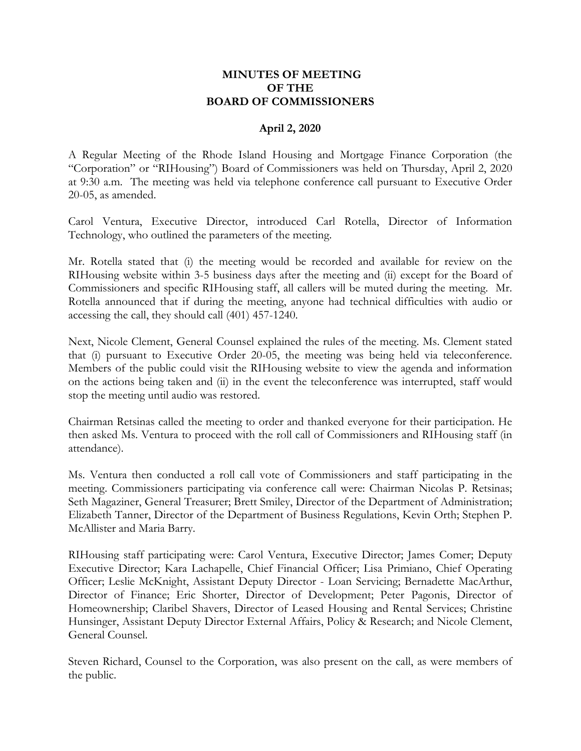### **MINUTES OF MEETING OF THE BOARD OF COMMISSIONERS**

#### **April 2, 2020**

A Regular Meeting of the Rhode Island Housing and Mortgage Finance Corporation (the "Corporation" or "RIHousing") Board of Commissioners was held on Thursday, April 2, 2020 at 9:30 a.m. The meeting was held via telephone conference call pursuant to Executive Order 20-05, as amended.

Carol Ventura, Executive Director, introduced Carl Rotella, Director of Information Technology, who outlined the parameters of the meeting.

Mr. Rotella stated that (i) the meeting would be recorded and available for review on the RIHousing website within 3-5 business days after the meeting and (ii) except for the Board of Commissioners and specific RIHousing staff, all callers will be muted during the meeting. Mr. Rotella announced that if during the meeting, anyone had technical difficulties with audio or accessing the call, they should call (401) 457-1240.

Next, Nicole Clement, General Counsel explained the rules of the meeting. Ms. Clement stated that (i) pursuant to Executive Order 20-05, the meeting was being held via teleconference. Members of the public could visit the RIHousing website to view the agenda and information on the actions being taken and (ii) in the event the teleconference was interrupted, staff would stop the meeting until audio was restored.

Chairman Retsinas called the meeting to order and thanked everyone for their participation. He then asked Ms. Ventura to proceed with the roll call of Commissioners and RIHousing staff (in attendance).

Ms. Ventura then conducted a roll call vote of Commissioners and staff participating in the meeting. Commissioners participating via conference call were: Chairman Nicolas P. Retsinas; Seth Magaziner, General Treasurer; Brett Smiley, Director of the Department of Administration; Elizabeth Tanner, Director of the Department of Business Regulations, Kevin Orth; Stephen P. McAllister and Maria Barry.

RIHousing staff participating were: Carol Ventura, Executive Director; James Comer; Deputy Executive Director; Kara Lachapelle, Chief Financial Officer; Lisa Primiano, Chief Operating Officer; Leslie McKnight, Assistant Deputy Director - Loan Servicing; Bernadette MacArthur, Director of Finance; Eric Shorter, Director of Development; Peter Pagonis, Director of Homeownership; Claribel Shavers, Director of Leased Housing and Rental Services; Christine Hunsinger, Assistant Deputy Director External Affairs, Policy & Research; and Nicole Clement, General Counsel.

Steven Richard, Counsel to the Corporation, was also present on the call, as were members of the public.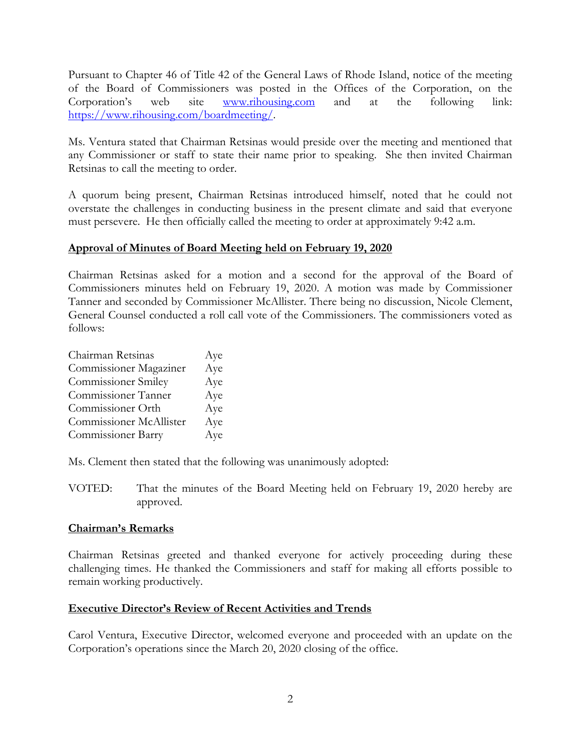Pursuant to Chapter 46 of Title 42 of the General Laws of Rhode Island, notice of the meeting of the Board of Commissioners was posted in the Offices of the Corporation, on the Corporation's web site [www.rihousing.com](http://www.rihousing.com/) and at the following link: [https://www.rihousing.com/boardmeeting/.](https://gcc02.safelinks.protection.outlook.com/?url=https%3A%2F%2Fwww.rihousing.com%2Fboardmeeting%2F&data=02%7C01%7Cmdicristofano%40rihousing.com%7C0b66864b62934370a90208d7d1b69409%7C05df7b1b5f934a61aa9644c90e298e51%7C0%7C0%7C637208454412895682&sdata=LLP%2Bb1e0OCbUjye5yW63I6xc0efy66Ti5E45utCQ77Y%3D&reserved=0)

Ms. Ventura stated that Chairman Retsinas would preside over the meeting and mentioned that any Commissioner or staff to state their name prior to speaking. She then invited Chairman Retsinas to call the meeting to order.

A quorum being present, Chairman Retsinas introduced himself, noted that he could not overstate the challenges in conducting business in the present climate and said that everyone must persevere. He then officially called the meeting to order at approximately 9:42 a.m.

# **Approval of Minutes of Board Meeting held on February 19, 2020**

Chairman Retsinas asked for a motion and a second for the approval of the Board of Commissioners minutes held on February 19, 2020. A motion was made by Commissioner Tanner and seconded by Commissioner McAllister. There being no discussion, Nicole Clement, General Counsel conducted a roll call vote of the Commissioners. The commissioners voted as follows:

| Chairman Retsinas          | Aye |
|----------------------------|-----|
| Commissioner Magaziner     | Aye |
| <b>Commissioner Smiley</b> | Aye |
| Commissioner Tanner        | Aye |
| Commissioner Orth          | Aye |
| Commissioner McAllister    | Aye |
| <b>Commissioner Barry</b>  | Aye |

Ms. Clement then stated that the following was unanimously adopted:

VOTED: That the minutes of the Board Meeting held on February 19, 2020 hereby are approved.

### **Chairman's Remarks**

Chairman Retsinas greeted and thanked everyone for actively proceeding during these challenging times. He thanked the Commissioners and staff for making all efforts possible to remain working productively.

# **Executive Director's Review of Recent Activities and Trends**

Carol Ventura, Executive Director, welcomed everyone and proceeded with an update on the Corporation's operations since the March 20, 2020 closing of the office.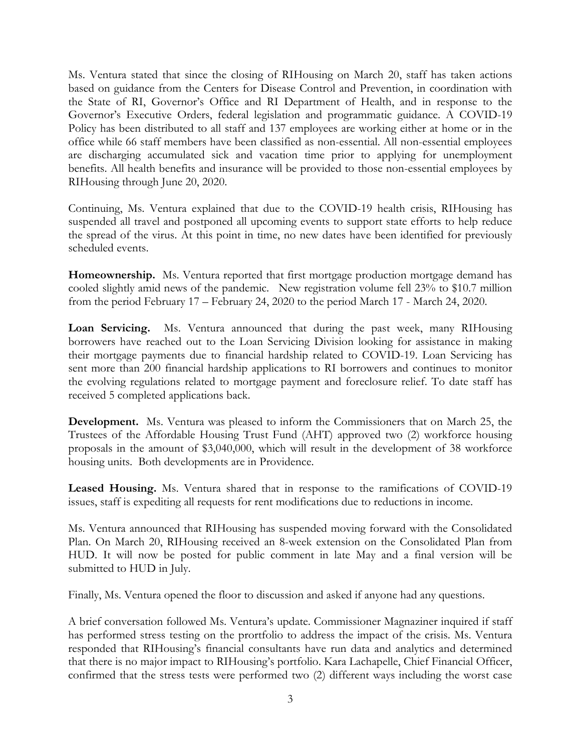Ms. Ventura stated that since the closing of RIHousing on March 20, staff has taken actions based on guidance from the Centers for Disease Control and Prevention, in coordination with the State of RI, Governor's Office and RI Department of Health, and in response to the Governor's Executive Orders, federal legislation and programmatic guidance. A COVID-19 Policy has been distributed to all staff and 137 employees are working either at home or in the office while 66 staff members have been classified as non-essential. All non-essential employees are discharging accumulated sick and vacation time prior to applying for unemployment benefits. All health benefits and insurance will be provided to those non-essential employees by RIHousing through June 20, 2020.

Continuing, Ms. Ventura explained that due to the COVID-19 health crisis, RIHousing has suspended all travel and postponed all upcoming events to support state efforts to help reduce the spread of the virus. At this point in time, no new dates have been identified for previously scheduled events.

**Homeownership.** Ms. Ventura reported that first mortgage production mortgage demand has cooled slightly amid news of the pandemic. New registration volume fell 23% to \$10.7 million from the period February 17 – February 24, 2020 to the period March 17 - March 24, 2020.

**Loan Servicing.** Ms. Ventura announced that during the past week, many RIHousing borrowers have reached out to the Loan Servicing Division looking for assistance in making their mortgage payments due to financial hardship related to COVID-19. Loan Servicing has sent more than 200 financial hardship applications to RI borrowers and continues to monitor the evolving regulations related to mortgage payment and foreclosure relief. To date staff has received 5 completed applications back.

**Development.** Ms. Ventura was pleased to inform the Commissioners that on March 25, the Trustees of the Affordable Housing Trust Fund (AHT) approved two (2) workforce housing proposals in the amount of \$3,040,000, which will result in the development of 38 workforce housing units. Both developments are in Providence.

**Leased Housing.** Ms. Ventura shared that in response to the ramifications of COVID-19 issues, staff is expediting all requests for rent modifications due to reductions in income.

Ms. Ventura announced that RIHousing has suspended moving forward with the Consolidated Plan. On March 20, RIHousing received an 8-week extension on the Consolidated Plan from HUD. It will now be posted for public comment in late May and a final version will be submitted to HUD in July.

Finally, Ms. Ventura opened the floor to discussion and asked if anyone had any questions.

A brief conversation followed Ms. Ventura's update. Commissioner Magnaziner inquired if staff has performed stress testing on the prortfolio to address the impact of the crisis. Ms. Ventura responded that RIHousing's financial consultants have run data and analytics and determined that there is no major impact to RIHousing's portfolio. Kara Lachapelle, Chief Financial Officer, confirmed that the stress tests were performed two (2) different ways including the worst case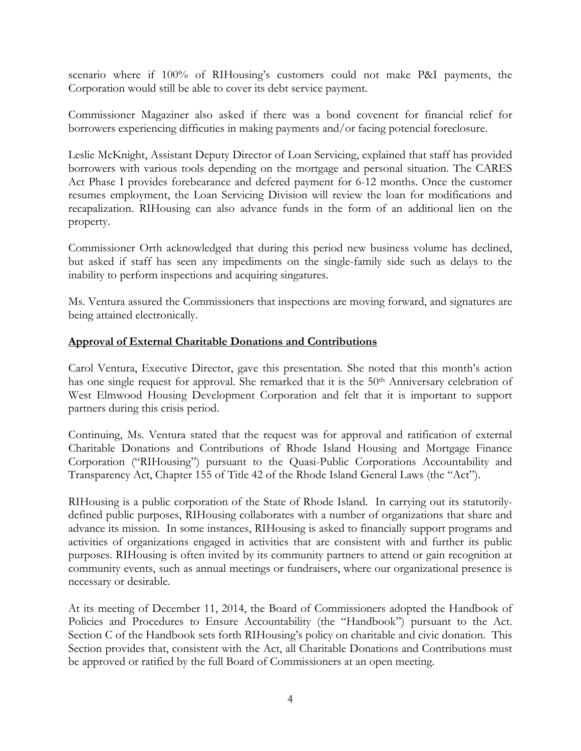scenario where if 100% of RIHousing's customers could not make P&I payments, the Corporation would still be able to cover its debt service payment.

Commissioner Magaziner also asked if there was a bond covenent for financial relief for borrowers experiencing difficuties in making payments and/or facing potencial foreclosure.

Leslie McKnight, Assistant Deputy Director of Loan Servicing, explained that staff has provided borrowers with various tools depending on the mortgage and personal situation. The CARES Act Phase I provides forebearance and defered payment for 6-12 months. Once the customer resumes employment, the Loan Servicing Division will review the loan for modifications and recapalization. RIHousing can also advance funds in the form of an additional lien on the property.

Commissioner Orth acknowledged that during this period new business volume has declined, but asked if staff has seen any impediments on the single-family side such as delays to the inability to perform inspections and acquiring singatures.

Ms. Ventura assured the Commissioners that inspections are moving forward, and signatures are being attained electronically.

# **Approval of External Charitable Donations and Contributions**

Carol Ventura, Executive Director, gave this presentation. She noted that this month's action has one single request for approval. She remarked that it is the 50<sup>th</sup> Anniversary celebration of West Elmwood Housing Development Corporation and felt that it is important to support partners during this crisis period.

Continuing, Ms. Ventura stated that the request was for approval and ratification of external Charitable Donations and Contributions of Rhode Island Housing and Mortgage Finance Corporation ("RIHousing") pursuant to the Quasi-Public Corporations Accountability and Transparency Act, Chapter 155 of Title 42 of the Rhode Island General Laws (the "Act").

RIHousing is a public corporation of the State of Rhode Island. In carrying out its statutorilydefined public purposes, RIHousing collaborates with a number of organizations that share and advance its mission. In some instances, RIHousing is asked to financially support programs and activities of organizations engaged in activities that are consistent with and further its public purposes. RIHousing is often invited by its community partners to attend or gain recognition at community events, such as annual meetings or fundraisers, where our organizational presence is necessary or desirable.

At its meeting of December 11, 2014, the Board of Commissioners adopted the Handbook of Policies and Procedures to Ensure Accountability (the "Handbook") pursuant to the Act. Section C of the Handbook sets forth RIHousing's policy on charitable and civic donation. This Section provides that, consistent with the Act, all Charitable Donations and Contributions must be approved or ratified by the full Board of Commissioners at an open meeting.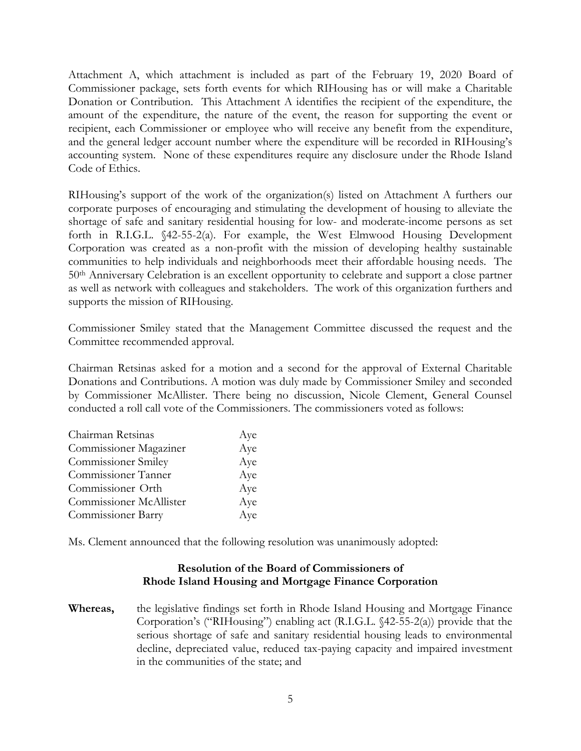Attachment A, which attachment is included as part of the February 19, 2020 Board of Commissioner package, sets forth events for which RIHousing has or will make a Charitable Donation or Contribution. This Attachment A identifies the recipient of the expenditure, the amount of the expenditure, the nature of the event, the reason for supporting the event or recipient, each Commissioner or employee who will receive any benefit from the expenditure, and the general ledger account number where the expenditure will be recorded in RIHousing's accounting system. None of these expenditures require any disclosure under the Rhode Island Code of Ethics.

RIHousing's support of the work of the organization(s) listed on Attachment A furthers our corporate purposes of encouraging and stimulating the development of housing to alleviate the shortage of safe and sanitary residential housing for low- and moderate-income persons as set forth in R.I.G.L. §42-55-2(a). For example, the West Elmwood Housing Development Corporation was created as a non-profit with the mission of developing healthy sustainable communities to help individuals and neighborhoods meet their affordable housing needs. The 50th Anniversary Celebration is an excellent opportunity to celebrate and support a close partner as well as network with colleagues and stakeholders. The work of this organization furthers and supports the mission of RIHousing.

Commissioner Smiley stated that the Management Committee discussed the request and the Committee recommended approval.

Chairman Retsinas asked for a motion and a second for the approval of External Charitable Donations and Contributions. A motion was duly made by Commissioner Smiley and seconded by Commissioner McAllister. There being no discussion, Nicole Clement, General Counsel conducted a roll call vote of the Commissioners. The commissioners voted as follows:

| Chairman Retsinas          | Aye |
|----------------------------|-----|
| Commissioner Magaziner     | Aye |
| <b>Commissioner Smiley</b> | Aye |
| Commissioner Tanner        | Aye |
| Commissioner Orth          | Aye |
| Commissioner McAllister    | Aye |
| <b>Commissioner Barry</b>  | Aye |

Ms. Clement announced that the following resolution was unanimously adopted:

# **Resolution of the Board of Commissioners of Rhode Island Housing and Mortgage Finance Corporation**

**Whereas,** the legislative findings set forth in Rhode Island Housing and Mortgage Finance Corporation's ("RIHousing") enabling act (R.I.G.L. §42-55-2(a)) provide that the serious shortage of safe and sanitary residential housing leads to environmental decline, depreciated value, reduced tax-paying capacity and impaired investment in the communities of the state; and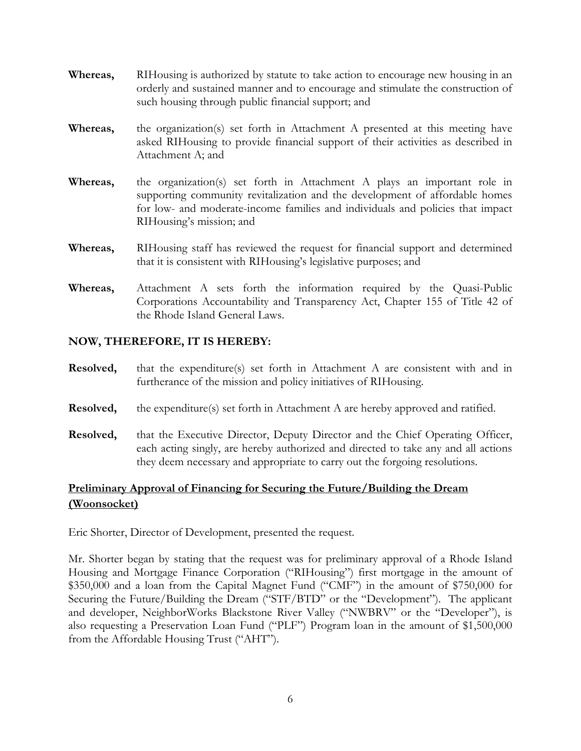- **Whereas,** RIHousing is authorized by statute to take action to encourage new housing in an orderly and sustained manner and to encourage and stimulate the construction of such housing through public financial support; and
- **Whereas,** the organization(s) set forth in Attachment A presented at this meeting have asked RIHousing to provide financial support of their activities as described in Attachment A; and
- **Whereas,** the organization(s) set forth in Attachment A plays an important role in supporting community revitalization and the development of affordable homes for low- and moderate-income families and individuals and policies that impact RIHousing's mission; and
- **Whereas,** RIHousing staff has reviewed the request for financial support and determined that it is consistent with RIHousing's legislative purposes; and
- **Whereas,** Attachment A sets forth the information required by the Quasi-Public Corporations Accountability and Transparency Act, Chapter 155 of Title 42 of the Rhode Island General Laws.

# **NOW, THEREFORE, IT IS HEREBY:**

- **Resolved,** that the expenditure(s) set forth in Attachment A are consistent with and in furtherance of the mission and policy initiatives of RIHousing.
- **Resolved,** the expenditure(s) set forth in Attachment A are hereby approved and ratified.
- **Resolved,** that the Executive Director, Deputy Director and the Chief Operating Officer, each acting singly, are hereby authorized and directed to take any and all actions they deem necessary and appropriate to carry out the forgoing resolutions.

# **Preliminary Approval of Financing for Securing the Future/Building the Dream (Woonsocket)**

Eric Shorter, Director of Development, presented the request.

Mr. Shorter began by stating that the request was for preliminary approval of a Rhode Island Housing and Mortgage Finance Corporation ("RIHousing") first mortgage in the amount of \$350,000 and a loan from the Capital Magnet Fund ("CMF") in the amount of \$750,000 for Securing the Future/Building the Dream ("STF/BTD" or the "Development"). The applicant and developer, NeighborWorks Blackstone River Valley ("NWBRV" or the "Developer"), is also requesting a Preservation Loan Fund ("PLF") Program loan in the amount of \$1,500,000 from the Affordable Housing Trust ("AHT").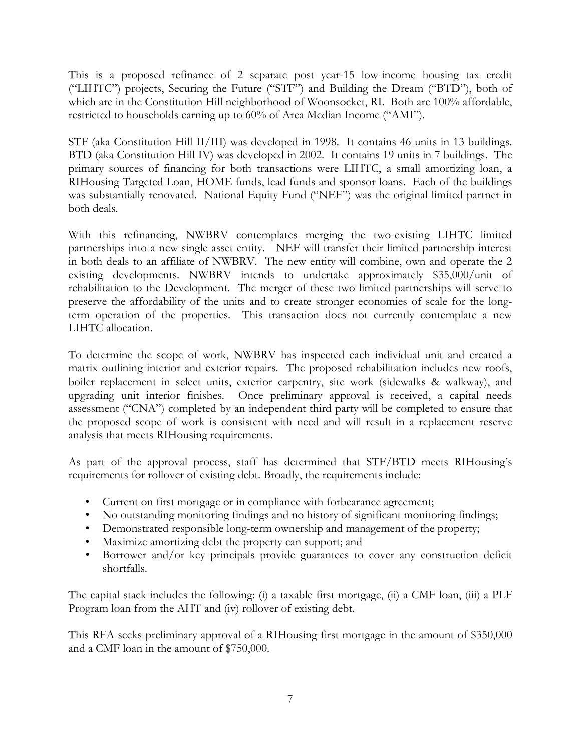This is a proposed refinance of 2 separate post year-15 low-income housing tax credit ("LIHTC") projects, Securing the Future ("STF") and Building the Dream ("BTD"), both of which are in the Constitution Hill neighborhood of Woonsocket, RI. Both are 100% affordable, restricted to households earning up to 60% of Area Median Income ("AMI").

STF (aka Constitution Hill II/III) was developed in 1998. It contains 46 units in 13 buildings. BTD (aka Constitution Hill IV) was developed in 2002. It contains 19 units in 7 buildings. The primary sources of financing for both transactions were LIHTC, a small amortizing loan, a RIHousing Targeted Loan, HOME funds, lead funds and sponsor loans. Each of the buildings was substantially renovated. National Equity Fund ("NEF") was the original limited partner in both deals.

With this refinancing, NWBRV contemplates merging the two-existing LIHTC limited partnerships into a new single asset entity. NEF will transfer their limited partnership interest in both deals to an affiliate of NWBRV. The new entity will combine, own and operate the 2 existing developments. NWBRV intends to undertake approximately \$35,000/unit of rehabilitation to the Development. The merger of these two limited partnerships will serve to preserve the affordability of the units and to create stronger economies of scale for the longterm operation of the properties. This transaction does not currently contemplate a new LIHTC allocation.

To determine the scope of work, NWBRV has inspected each individual unit and created a matrix outlining interior and exterior repairs. The proposed rehabilitation includes new roofs, boiler replacement in select units, exterior carpentry, site work (sidewalks & walkway), and upgrading unit interior finishes. Once preliminary approval is received, a capital needs assessment ("CNA") completed by an independent third party will be completed to ensure that the proposed scope of work is consistent with need and will result in a replacement reserve analysis that meets RIHousing requirements.

As part of the approval process, staff has determined that STF/BTD meets RIHousing's requirements for rollover of existing debt. Broadly, the requirements include:

- Current on first mortgage or in compliance with forbearance agreement;
- No outstanding monitoring findings and no history of significant monitoring findings;
- Demonstrated responsible long-term ownership and management of the property;
- Maximize amortizing debt the property can support; and
- Borrower and/or key principals provide guarantees to cover any construction deficit shortfalls.

The capital stack includes the following: (i) a taxable first mortgage, (ii) a CMF loan, (iii) a PLF Program loan from the AHT and (iv) rollover of existing debt.

This RFA seeks preliminary approval of a RIHousing first mortgage in the amount of \$350,000 and a CMF loan in the amount of \$750,000.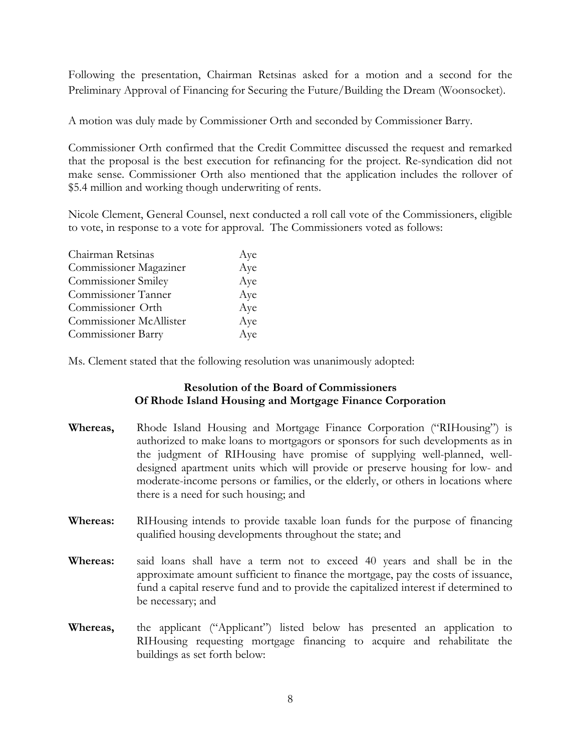Following the presentation, Chairman Retsinas asked for a motion and a second for the Preliminary Approval of Financing for Securing the Future/Building the Dream (Woonsocket).

A motion was duly made by Commissioner Orth and seconded by Commissioner Barry.

Commissioner Orth confirmed that the Credit Committee discussed the request and remarked that the proposal is the best execution for refinancing for the project. Re-syndication did not make sense. Commissioner Orth also mentioned that the application includes the rollover of \$5.4 million and working though underwriting of rents.

Nicole Clement, General Counsel, next conducted a roll call vote of the Commissioners, eligible to vote, in response to a vote for approval. The Commissioners voted as follows:

| Chairman Retsinas          | Aye |
|----------------------------|-----|
| Commissioner Magaziner     | Aye |
| <b>Commissioner Smiley</b> | Aye |
| Commissioner Tanner        | Aye |
| Commissioner Orth          | Aye |
| Commissioner McAllister    | Aye |
| <b>Commissioner Barry</b>  | Aye |

Ms. Clement stated that the following resolution was unanimously adopted:

# **Resolution of the Board of Commissioners Of Rhode Island Housing and Mortgage Finance Corporation**

- **Whereas,** Rhode Island Housing and Mortgage Finance Corporation ("RIHousing") is authorized to make loans to mortgagors or sponsors for such developments as in the judgment of RIHousing have promise of supplying well-planned, welldesigned apartment units which will provide or preserve housing for low- and moderate-income persons or families, or the elderly, or others in locations where there is a need for such housing; and
- **Whereas:** RIHousing intends to provide taxable loan funds for the purpose of financing qualified housing developments throughout the state; and
- **Whereas:** said loans shall have a term not to exceed 40 years and shall be in the approximate amount sufficient to finance the mortgage, pay the costs of issuance, fund a capital reserve fund and to provide the capitalized interest if determined to be necessary; and
- **Whereas,** the applicant ("Applicant") listed below has presented an application to RIHousing requesting mortgage financing to acquire and rehabilitate the buildings as set forth below: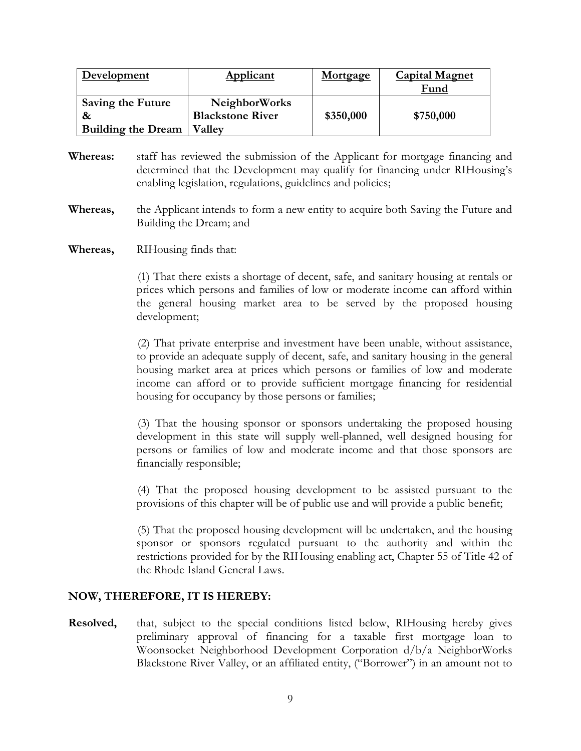| <b>Development</b>        | <b>Applicant</b>        | <b>Mortgage</b> | <b>Capital Magnet</b> |
|---------------------------|-------------------------|-----------------|-----------------------|
|                           |                         |                 | Fund                  |
| <b>Saving the Future</b>  | <b>NeighborWorks</b>    |                 |                       |
| $\boldsymbol{\alpha}$     | <b>Blackstone River</b> | \$350,000       | \$750,000             |
| <b>Building the Dream</b> | <b>Valley</b>           |                 |                       |

- **Whereas:** staff has reviewed the submission of the Applicant for mortgage financing and determined that the Development may qualify for financing under RIHousing's enabling legislation, regulations, guidelines and policies;
- **Whereas,** the Applicant intends to form a new entity to acquire both Saving the Future and Building the Dream; and
- **Whereas,** RIHousing finds that:

(1) That there exists a shortage of decent, safe, and sanitary housing at rentals or prices which persons and families of low or moderate income can afford within the general housing market area to be served by the proposed housing development;

(2) That private enterprise and investment have been unable, without assistance, to provide an adequate supply of decent, safe, and sanitary housing in the general housing market area at prices which persons or families of low and moderate income can afford or to provide sufficient mortgage financing for residential housing for occupancy by those persons or families;

(3) That the housing sponsor or sponsors undertaking the proposed housing development in this state will supply well-planned, well designed housing for persons or families of low and moderate income and that those sponsors are financially responsible;

(4) That the proposed housing development to be assisted pursuant to the provisions of this chapter will be of public use and will provide a public benefit;

(5) That the proposed housing development will be undertaken, and the housing sponsor or sponsors regulated pursuant to the authority and within the restrictions provided for by the RIHousing enabling act, Chapter 55 of Title 42 of the Rhode Island General Laws.

#### **NOW, THEREFORE, IT IS HEREBY:**

**Resolved,** that, subject to the special conditions listed below, RIHousing hereby gives preliminary approval of financing for a taxable first mortgage loan to Woonsocket Neighborhood Development Corporation d/b/a NeighborWorks Blackstone River Valley, or an affiliated entity, ("Borrower") in an amount not to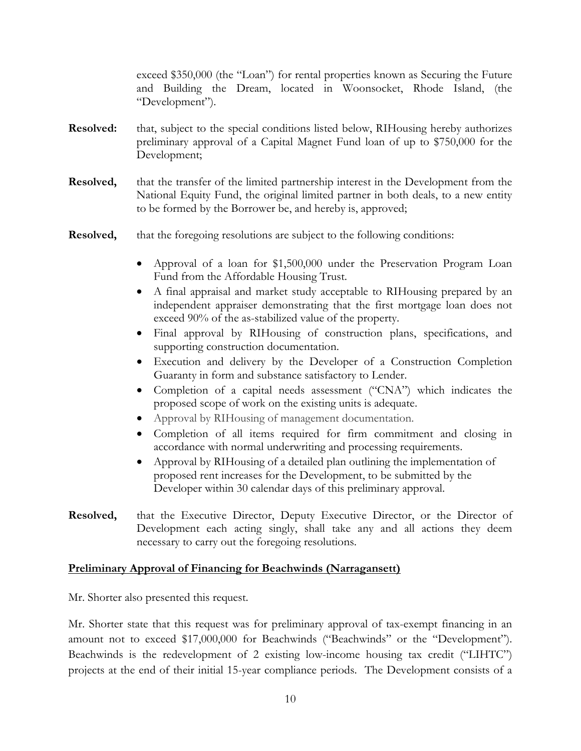exceed \$350,000 (the "Loan") for rental properties known as Securing the Future and Building the Dream, located in Woonsocket, Rhode Island, (the "Development").

- **Resolved:** that, subject to the special conditions listed below, RIHousing hereby authorizes preliminary approval of a Capital Magnet Fund loan of up to \$750,000 for the Development;
- **Resolved,** that the transfer of the limited partnership interest in the Development from the National Equity Fund, the original limited partner in both deals, to a new entity to be formed by the Borrower be, and hereby is, approved;
- **Resolved,** that the foregoing resolutions are subject to the following conditions:
	- Approval of a loan for \$1,500,000 under the Preservation Program Loan Fund from the Affordable Housing Trust.
	- A final appraisal and market study acceptable to RIHousing prepared by an independent appraiser demonstrating that the first mortgage loan does not exceed 90% of the as-stabilized value of the property.
	- Final approval by RIHousing of construction plans, specifications, and supporting construction documentation.
	- Execution and delivery by the Developer of a Construction Completion Guaranty in form and substance satisfactory to Lender.
	- Completion of a capital needs assessment ("CNA") which indicates the proposed scope of work on the existing units is adequate.
	- Approval by RIHousing of management documentation.
	- Completion of all items required for firm commitment and closing in accordance with normal underwriting and processing requirements.
	- Approval by RIHousing of a detailed plan outlining the implementation of proposed rent increases for the Development, to be submitted by the Developer within 30 calendar days of this preliminary approval.
- **Resolved,** that the Executive Director, Deputy Executive Director, or the Director of Development each acting singly, shall take any and all actions they deem necessary to carry out the foregoing resolutions.

### **Preliminary Approval of Financing for Beachwinds (Narragansett)**

Mr. Shorter also presented this request.

Mr. Shorter state that this request was for preliminary approval of tax-exempt financing in an amount not to exceed \$17,000,000 for Beachwinds ("Beachwinds" or the "Development"). Beachwinds is the redevelopment of 2 existing low-income housing tax credit ("LIHTC") projects at the end of their initial 15-year compliance periods. The Development consists of a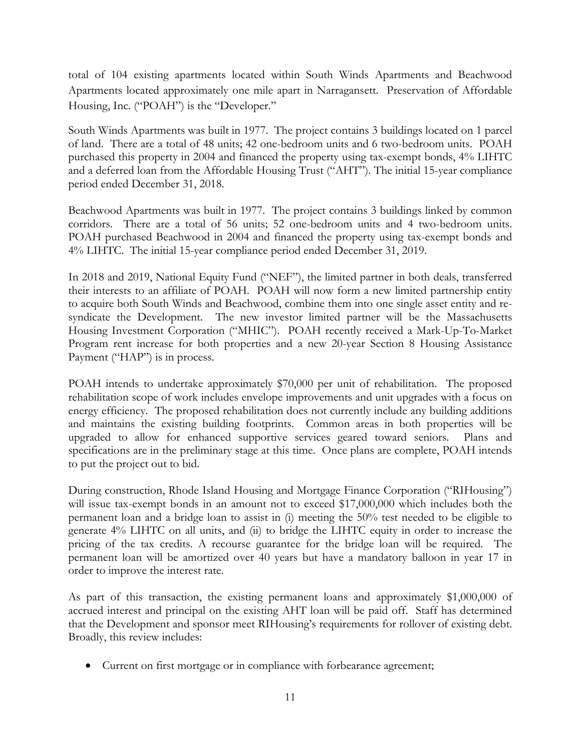total of 104 existing apartments located within South Winds Apartments and Beachwood Apartments located approximately one mile apart in Narragansett. Preservation of Affordable Housing, Inc. ("POAH") is the "Developer."

South Winds Apartments was built in 1977. The project contains 3 buildings located on 1 parcel of land. There are a total of 48 units; 42 one-bedroom units and 6 two-bedroom units. POAH purchased this property in 2004 and financed the property using tax-exempt bonds, 4% LIHTC and a deferred loan from the Affordable Housing Trust ("AHT"). The initial 15-year compliance period ended December 31, 2018.

Beachwood Apartments was built in 1977. The project contains 3 buildings linked by common corridors. There are a total of 56 units; 52 one-bedroom units and 4 two-bedroom units. POAH purchased Beachwood in 2004 and financed the property using tax-exempt bonds and 4% LIHTC. The initial 15-year compliance period ended December 31, 2019.

In 2018 and 2019, National Equity Fund ("NEF"), the limited partner in both deals, transferred their interests to an affiliate of POAH. POAH will now form a new limited partnership entity to acquire both South Winds and Beachwood, combine them into one single asset entity and resyndicate the Development. The new investor limited partner will be the Massachusetts Housing Investment Corporation ("MHIC"). POAH recently received a Mark-Up-To-Market Program rent increase for both properties and a new 20-year Section 8 Housing Assistance Payment ("HAP") is in process.

POAH intends to undertake approximately \$70,000 per unit of rehabilitation. The proposed rehabilitation scope of work includes envelope improvements and unit upgrades with a focus on energy efficiency. The proposed rehabilitation does not currently include any building additions and maintains the existing building footprints. Common areas in both properties will be upgraded to allow for enhanced supportive services geared toward seniors. Plans and specifications are in the preliminary stage at this time. Once plans are complete, POAH intends to put the project out to bid.

During construction, Rhode Island Housing and Mortgage Finance Corporation ("RIHousing") will issue tax-exempt bonds in an amount not to exceed \$17,000,000 which includes both the permanent loan and a bridge loan to assist in (i) meeting the 50% test needed to be eligible to generate 4% LIHTC on all units, and (ii) to bridge the LIHTC equity in order to increase the pricing of the tax credits. A recourse guarantee for the bridge loan will be required. The permanent loan will be amortized over 40 years but have a mandatory balloon in year 17 in order to improve the interest rate.

As part of this transaction, the existing permanent loans and approximately \$1,000,000 of accrued interest and principal on the existing AHT loan will be paid off. Staff has determined that the Development and sponsor meet RIHousing's requirements for rollover of existing debt. Broadly, this review includes:

• Current on first mortgage or in compliance with forbearance agreement;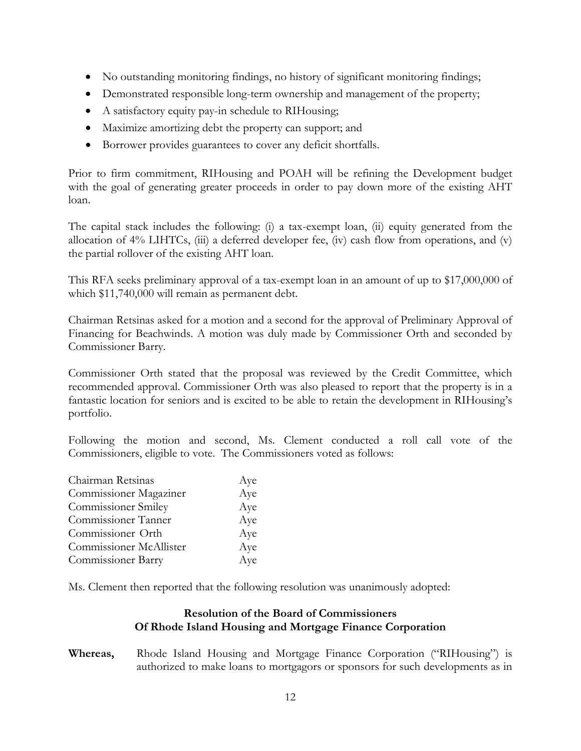- No outstanding monitoring findings, no history of significant monitoring findings;
- Demonstrated responsible long-term ownership and management of the property;
- A satisfactory equity pay-in schedule to RIHousing;
- Maximize amortizing debt the property can support; and
- Borrower provides guarantees to cover any deficit shortfalls.

Prior to firm commitment, RIHousing and POAH will be refining the Development budget with the goal of generating greater proceeds in order to pay down more of the existing AHT loan.

The capital stack includes the following: (i) a tax-exempt loan, (ii) equity generated from the allocation of 4% LIHTCs, (iii) a deferred developer fee, (iv) cash flow from operations, and (v) the partial rollover of the existing AHT loan.

This RFA seeks preliminary approval of a tax-exempt loan in an amount of up to \$17,000,000 of which \$11,740,000 will remain as permanent debt.

Chairman Retsinas asked for a motion and a second for the approval of Preliminary Approval of Financing for Beachwinds. A motion was duly made by Commissioner Orth and seconded by Commissioner Barry.

Commissioner Orth stated that the proposal was reviewed by the Credit Committee, which recommended approval. Commissioner Orth was also pleased to report that the property is in a fantastic location for seniors and is excited to be able to retain the development in RIHousing's portfolio.

Following the motion and second, Ms. Clement conducted a roll call vote of the Commissioners, eligible to vote. The Commissioners voted as follows:

| Chairman Retsinas          | Aye |
|----------------------------|-----|
| Commissioner Magaziner     | Aye |
| <b>Commissioner Smiley</b> | Aye |
| Commissioner Tanner        | Aye |
| Commissioner Orth          | Aye |
| Commissioner McAllister    | Aye |
| Commissioner Barry         | Aye |

Ms. Clement then reported that the following resolution was unanimously adopted:

### **Resolution of the Board of Commissioners Of Rhode Island Housing and Mortgage Finance Corporation**

**Whereas,** Rhode Island Housing and Mortgage Finance Corporation ("RIHousing") is authorized to make loans to mortgagors or sponsors for such developments as in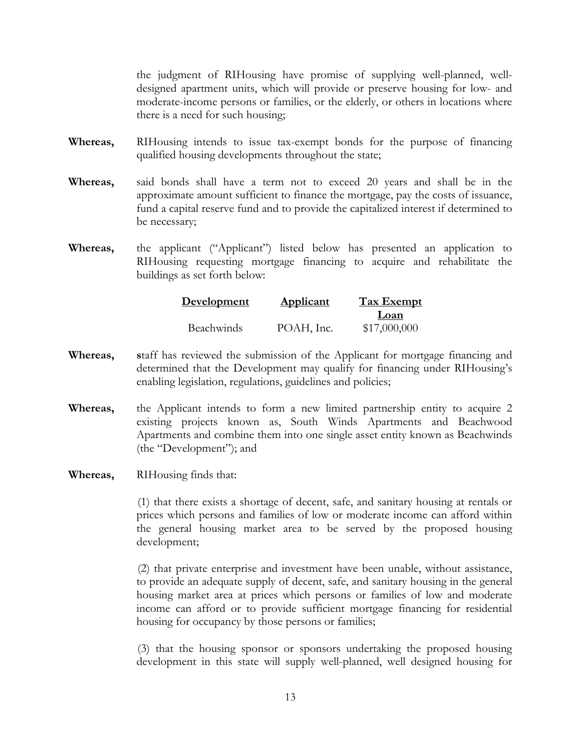the judgment of RIHousing have promise of supplying well-planned, welldesigned apartment units, which will provide or preserve housing for low- and moderate-income persons or families, or the elderly, or others in locations where there is a need for such housing;

- **Whereas,** RIHousing intends to issue tax-exempt bonds for the purpose of financing qualified housing developments throughout the state;
- **Whereas,** said bonds shall have a term not to exceed 20 years and shall be in the approximate amount sufficient to finance the mortgage, pay the costs of issuance, fund a capital reserve fund and to provide the capitalized interest if determined to be necessary;
- **Whereas,** the applicant ("Applicant") listed below has presented an application to RIHousing requesting mortgage financing to acquire and rehabilitate the buildings as set forth below:

| Development       | <b>Applicant</b> | <b>Tax Exempt</b> |
|-------------------|------------------|-------------------|
|                   |                  | Loan              |
| <b>Beachwinds</b> | POAH, Inc.       | \$17,000,000      |

- **Whereas, s**taff has reviewed the submission of the Applicant for mortgage financing and determined that the Development may qualify for financing under RIHousing's enabling legislation, regulations, guidelines and policies;
- **Whereas,** the Applicant intends to form a new limited partnership entity to acquire 2 existing projects known as, South Winds Apartments and Beachwood Apartments and combine them into one single asset entity known as Beachwinds (the "Development"); and
- **Whereas,** RIHousing finds that:

(1) that there exists a shortage of decent, safe, and sanitary housing at rentals or prices which persons and families of low or moderate income can afford within the general housing market area to be served by the proposed housing development;

(2) that private enterprise and investment have been unable, without assistance, to provide an adequate supply of decent, safe, and sanitary housing in the general housing market area at prices which persons or families of low and moderate income can afford or to provide sufficient mortgage financing for residential housing for occupancy by those persons or families;

(3) that the housing sponsor or sponsors undertaking the proposed housing development in this state will supply well-planned, well designed housing for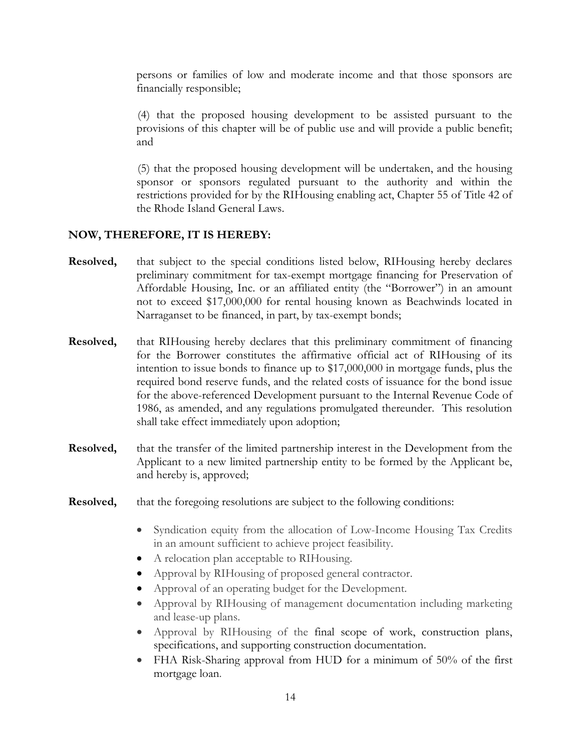persons or families of low and moderate income and that those sponsors are financially responsible;

(4) that the proposed housing development to be assisted pursuant to the provisions of this chapter will be of public use and will provide a public benefit; and

(5) that the proposed housing development will be undertaken, and the housing sponsor or sponsors regulated pursuant to the authority and within the restrictions provided for by the RIHousing enabling act, Chapter 55 of Title 42 of the Rhode Island General Laws.

### **NOW, THEREFORE, IT IS HEREBY:**

- **Resolved,** that subject to the special conditions listed below, RIHousing hereby declares preliminary commitment for tax-exempt mortgage financing for Preservation of Affordable Housing, Inc. or an affiliated entity (the "Borrower") in an amount not to exceed \$17,000,000 for rental housing known as Beachwinds located in Narraganset to be financed, in part, by tax-exempt bonds;
- **Resolved,** that RIHousing hereby declares that this preliminary commitment of financing for the Borrower constitutes the affirmative official act of RIHousing of its intention to issue bonds to finance up to \$17,000,000 in mortgage funds, plus the required bond reserve funds, and the related costs of issuance for the bond issue for the above-referenced Development pursuant to the Internal Revenue Code of 1986, as amended, and any regulations promulgated thereunder. This resolution shall take effect immediately upon adoption;
- **Resolved,** that the transfer of the limited partnership interest in the Development from the Applicant to a new limited partnership entity to be formed by the Applicant be, and hereby is, approved;
- **Resolved,** that the foregoing resolutions are subject to the following conditions:
	- Syndication equity from the allocation of Low-Income Housing Tax Credits in an amount sufficient to achieve project feasibility.
	- A relocation plan acceptable to RIHousing.
	- Approval by RIHousing of proposed general contractor.
	- Approval of an operating budget for the Development.
	- Approval by RIHousing of management documentation including marketing and lease-up plans.
	- Approval by RIHousing of the final scope of work, construction plans, specifications, and supporting construction documentation.
	- FHA Risk-Sharing approval from HUD for a minimum of 50% of the first mortgage loan.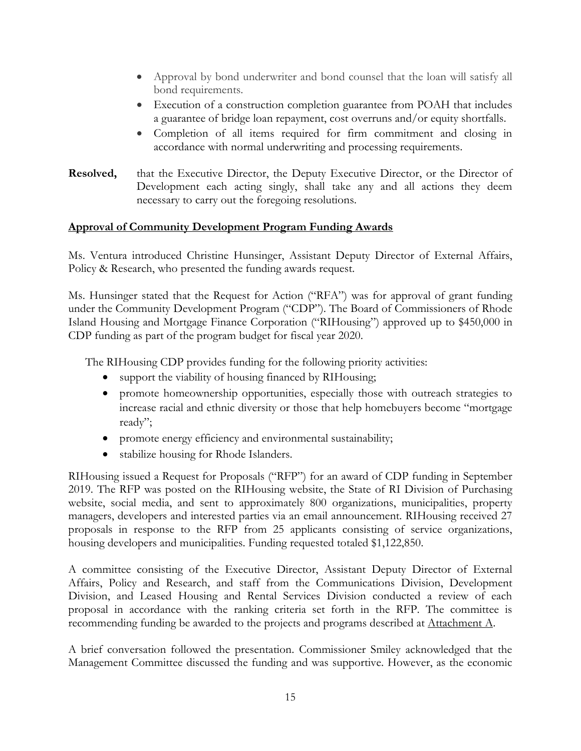- Approval by bond underwriter and bond counsel that the loan will satisfy all bond requirements.
- Execution of a construction completion guarantee from POAH that includes a guarantee of bridge loan repayment, cost overruns and/or equity shortfalls.
- Completion of all items required for firm commitment and closing in accordance with normal underwriting and processing requirements.
- **Resolved,** that the Executive Director, the Deputy Executive Director, or the Director of Development each acting singly, shall take any and all actions they deem necessary to carry out the foregoing resolutions.

### **Approval of Community Development Program Funding Awards**

Ms. Ventura introduced Christine Hunsinger, Assistant Deputy Director of External Affairs, Policy & Research, who presented the funding awards request.

Ms. Hunsinger stated that the Request for Action ("RFA") was for approval of grant funding under the Community Development Program ("CDP"). The Board of Commissioners of Rhode Island Housing and Mortgage Finance Corporation ("RIHousing") approved up to \$450,000 in CDP funding as part of the program budget for fiscal year 2020.

The RIHousing CDP provides funding for the following priority activities:

- support the viability of housing financed by RIHousing;
- promote homeownership opportunities, especially those with outreach strategies to increase racial and ethnic diversity or those that help homebuyers become "mortgage ready";
- promote energy efficiency and environmental sustainability;
- stabilize housing for Rhode Islanders.

RIHousing issued a Request for Proposals ("RFP") for an award of CDP funding in September 2019. The RFP was posted on the RIHousing website, the State of RI Division of Purchasing website, social media, and sent to approximately 800 organizations, municipalities, property managers, developers and interested parties via an email announcement. RIHousing received 27 proposals in response to the RFP from 25 applicants consisting of service organizations, housing developers and municipalities. Funding requested totaled \$1,122,850.

A committee consisting of the Executive Director, Assistant Deputy Director of External Affairs, Policy and Research, and staff from the Communications Division, Development Division, and Leased Housing and Rental Services Division conducted a review of each proposal in accordance with the ranking criteria set forth in the RFP. The committee is recommending funding be awarded to the projects and programs described at Attachment A.

A brief conversation followed the presentation. Commissioner Smiley acknowledged that the Management Committee discussed the funding and was supportive. However, as the economic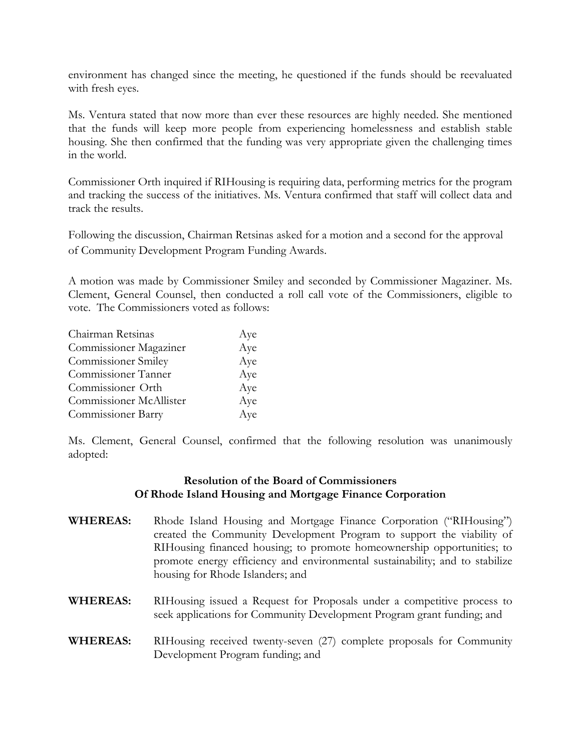environment has changed since the meeting, he questioned if the funds should be reevaluated with fresh eyes.

Ms. Ventura stated that now more than ever these resources are highly needed. She mentioned that the funds will keep more people from experiencing homelessness and establish stable housing. She then confirmed that the funding was very appropriate given the challenging times in the world.

Commissioner Orth inquired if RIHousing is requiring data, performing metrics for the program and tracking the success of the initiatives. Ms. Ventura confirmed that staff will collect data and track the results.

Following the discussion, Chairman Retsinas asked for a motion and a second for the approval of Community Development Program Funding Awards.

A motion was made by Commissioner Smiley and seconded by Commissioner Magaziner. Ms. Clement, General Counsel, then conducted a roll call vote of the Commissioners, eligible to vote. The Commissioners voted as follows:

| Chairman Retsinas          | Aye |
|----------------------------|-----|
| Commissioner Magaziner     | Aye |
| <b>Commissioner Smiley</b> | Aye |
| Commissioner Tanner        | Aye |
| Commissioner Orth          | Aye |
| Commissioner McAllister    | Aye |
| <b>Commissioner Barry</b>  | Aye |

Ms. Clement, General Counsel, confirmed that the following resolution was unanimously adopted:

### **Resolution of the Board of Commissioners Of Rhode Island Housing and Mortgage Finance Corporation**

- **WHEREAS:** Rhode Island Housing and Mortgage Finance Corporation ("RIHousing") created the Community Development Program to support the viability of RIHousing financed housing; to promote homeownership opportunities; to promote energy efficiency and environmental sustainability; and to stabilize housing for Rhode Islanders; and
- WHEREAS: RIHousing issued a Request for Proposals under a competitive process to seek applications for Community Development Program grant funding; and
- **WHEREAS:** RIHousing received twenty-seven (27) complete proposals for Community Development Program funding; and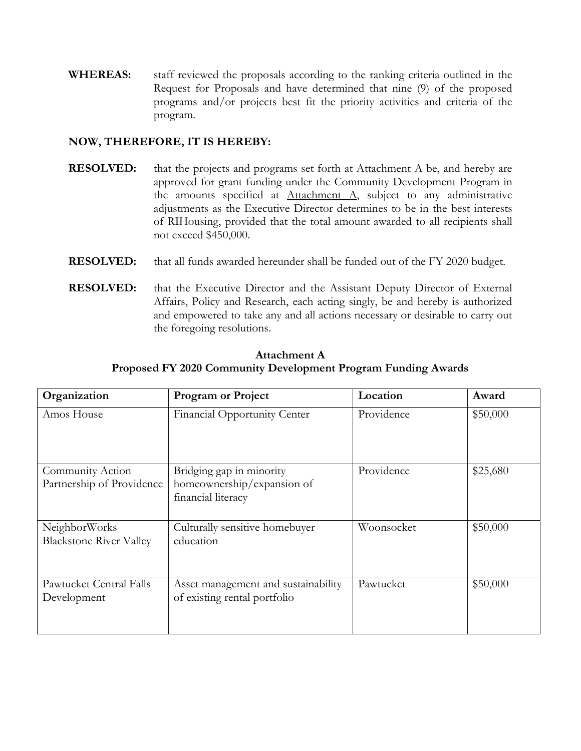**WHEREAS:** staff reviewed the proposals according to the ranking criteria outlined in the Request for Proposals and have determined that nine (9) of the proposed programs and/or projects best fit the priority activities and criteria of the program.

### **NOW, THEREFORE, IT IS HEREBY:**

- **RESOLVED:** that the projects and programs set forth at <u>Attachment A</u> be, and hereby are approved for grant funding under the Community Development Program in the amounts specified at  $Attachment A$ , subject to any administrative</u> adjustments as the Executive Director determines to be in the best interests of RIHousing, provided that the total amount awarded to all recipients shall not exceed \$450,000.
- **RESOLVED:** that all funds awarded hereunder shall be funded out of the FY 2020 budget.
- **RESOLVED:** that the Executive Director and the Assistant Deputy Director of External Affairs, Policy and Research, each acting singly, be and hereby is authorized and empowered to take any and all actions necessary or desirable to carry out the foregoing resolutions.

| Organization                                    | <b>Program or Project</b>                                                    | Location   | Award    |
|-------------------------------------------------|------------------------------------------------------------------------------|------------|----------|
| Amos House                                      | Financial Opportunity Center                                                 | Providence | \$50,000 |
| Community Action<br>Partnership of Providence   | Bridging gap in minority<br>homeownership/expansion of<br>financial literacy | Providence | \$25,680 |
| NeighborWorks<br><b>Blackstone River Valley</b> | Culturally sensitive homebuyer<br>education                                  | Woonsocket | \$50,000 |
| Pawtucket Central Falls<br>Development          | Asset management and sustainability<br>of existing rental portfolio          | Pawtucket  | \$50,000 |

**Attachment A Proposed FY 2020 Community Development Program Funding Awards**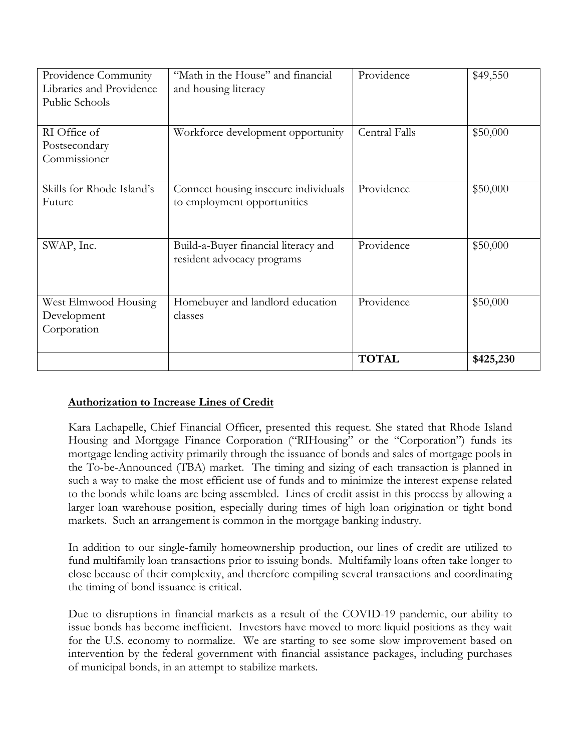| Providence Community<br>Libraries and Providence<br>Public Schools | "Math in the House" and financial<br>and housing literacy           | Providence           | \$49,550  |
|--------------------------------------------------------------------|---------------------------------------------------------------------|----------------------|-----------|
| RI Office of<br>Postsecondary<br>Commissioner                      | Workforce development opportunity                                   | <b>Central Falls</b> | \$50,000  |
| Skills for Rhode Island's<br>Future                                | Connect housing insecure individuals<br>to employment opportunities | Providence           | \$50,000  |
| SWAP, Inc.                                                         | Build-a-Buyer financial literacy and<br>resident advocacy programs  | Providence           | \$50,000  |
| West Elmwood Housing<br>Development<br>Corporation                 | Homebuyer and landlord education<br>classes                         | Providence           | \$50,000  |
|                                                                    |                                                                     | <b>TOTAL</b>         | \$425,230 |

# **Authorization to Increase Lines of Credit**

Kara Lachapelle, Chief Financial Officer, presented this request. She stated that Rhode Island Housing and Mortgage Finance Corporation ("RIHousing" or the "Corporation") funds its mortgage lending activity primarily through the issuance of bonds and sales of mortgage pools in the To-be-Announced (TBA) market. The timing and sizing of each transaction is planned in such a way to make the most efficient use of funds and to minimize the interest expense related to the bonds while loans are being assembled. Lines of credit assist in this process by allowing a larger loan warehouse position, especially during times of high loan origination or tight bond markets. Such an arrangement is common in the mortgage banking industry.

In addition to our single-family homeownership production, our lines of credit are utilized to fund multifamily loan transactions prior to issuing bonds. Multifamily loans often take longer to close because of their complexity, and therefore compiling several transactions and coordinating the timing of bond issuance is critical.

Due to disruptions in financial markets as a result of the COVID-19 pandemic, our ability to issue bonds has become inefficient. Investors have moved to more liquid positions as they wait for the U.S. economy to normalize. We are starting to see some slow improvement based on intervention by the federal government with financial assistance packages, including purchases of municipal bonds, in an attempt to stabilize markets.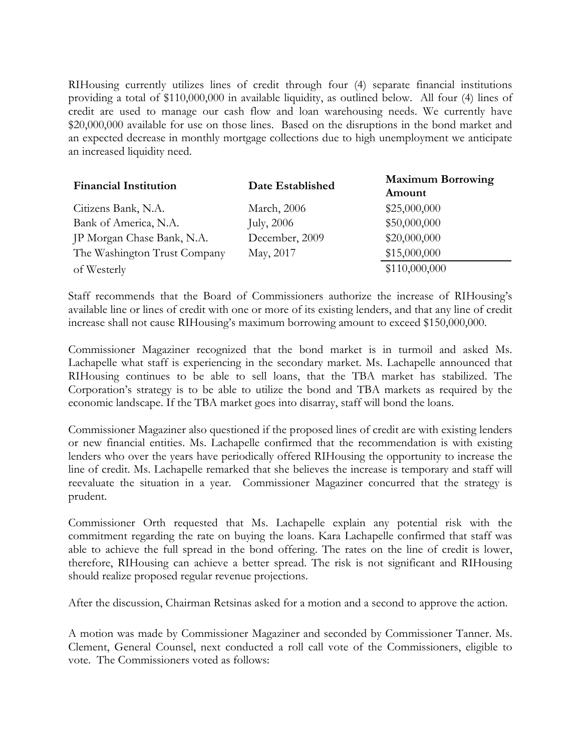RIHousing currently utilizes lines of credit through four (4) separate financial institutions providing a total of \$110,000,000 in available liquidity, as outlined below. All four (4) lines of credit are used to manage our cash flow and loan warehousing needs. We currently have \$20,000,000 available for use on those lines. Based on the disruptions in the bond market and an expected decrease in monthly mortgage collections due to high unemployment we anticipate an increased liquidity need.

| <b>Financial Institution</b> | Date Established | <b>Maximum Borrowing</b><br>Amount |
|------------------------------|------------------|------------------------------------|
| Citizens Bank, N.A.          | March, 2006      | \$25,000,000                       |
| Bank of America, N.A.        | July, 2006       | \$50,000,000                       |
| JP Morgan Chase Bank, N.A.   | December, 2009   | \$20,000,000                       |
| The Washington Trust Company | May, 2017        | \$15,000,000                       |
| of Westerly                  |                  | \$110,000,000                      |

Staff recommends that the Board of Commissioners authorize the increase of RIHousing's available line or lines of credit with one or more of its existing lenders, and that any line of credit increase shall not cause RIHousing's maximum borrowing amount to exceed \$150,000,000.

Commissioner Magaziner recognized that the bond market is in turmoil and asked Ms. Lachapelle what staff is experiencing in the secondary market. Ms. Lachapelle announced that RIHousing continues to be able to sell loans, that the TBA market has stabilized. The Corporation's strategy is to be able to utilize the bond and TBA markets as required by the economic landscape. If the TBA market goes into disarray, staff will bond the loans.

Commissioner Magaziner also questioned if the proposed lines of credit are with existing lenders or new financial entities. Ms. Lachapelle confirmed that the recommendation is with existing lenders who over the years have periodically offered RIHousing the opportunity to increase the line of credit. Ms. Lachapelle remarked that she believes the increase is temporary and staff will reevaluate the situation in a year. Commissioner Magaziner concurred that the strategy is prudent.

Commissioner Orth requested that Ms. Lachapelle explain any potential risk with the commitment regarding the rate on buying the loans. Kara Lachapelle confirmed that staff was able to achieve the full spread in the bond offering. The rates on the line of credit is lower, therefore, RIHousing can achieve a better spread. The risk is not significant and RIHousing should realize proposed regular revenue projections.

After the discussion, Chairman Retsinas asked for a motion and a second to approve the action.

A motion was made by Commissioner Magaziner and seconded by Commissioner Tanner. Ms. Clement, General Counsel, next conducted a roll call vote of the Commissioners, eligible to vote. The Commissioners voted as follows: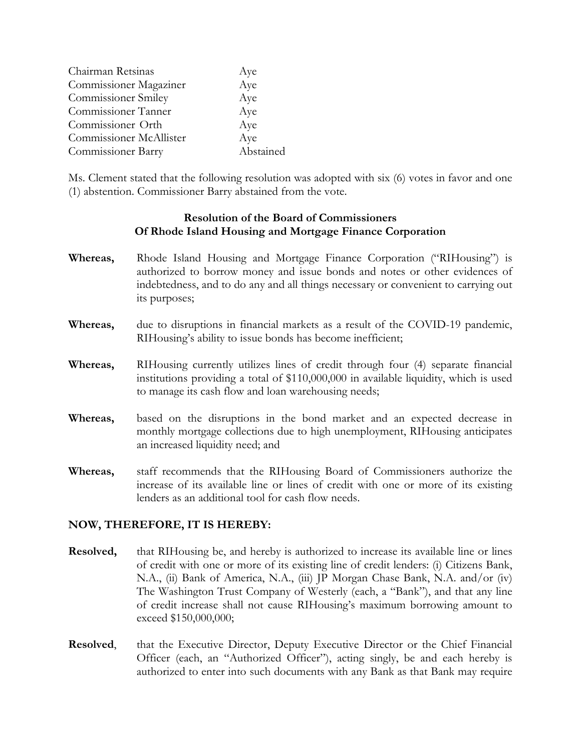| Aye       |
|-----------|
| Aye       |
| Aye       |
| Aye       |
| Aye       |
| Aye       |
| Abstained |
|           |

Ms. Clement stated that the following resolution was adopted with six (6) votes in favor and one (1) abstention. Commissioner Barry abstained from the vote.

#### **Resolution of the Board of Commissioners Of Rhode Island Housing and Mortgage Finance Corporation**

- **Whereas,** Rhode Island Housing and Mortgage Finance Corporation ("RIHousing") is authorized to borrow money and issue bonds and notes or other evidences of indebtedness, and to do any and all things necessary or convenient to carrying out its purposes;
- **Whereas,** due to disruptions in financial markets as a result of the COVID-19 pandemic, RIHousing's ability to issue bonds has become inefficient;
- **Whereas,** RIHousing currently utilizes lines of credit through four (4) separate financial institutions providing a total of \$110,000,000 in available liquidity, which is used to manage its cash flow and loan warehousing needs;
- **Whereas,** based on the disruptions in the bond market and an expected decrease in monthly mortgage collections due to high unemployment, RIHousing anticipates an increased liquidity need; and
- **Whereas,** staff recommends that the RIHousing Board of Commissioners authorize the increase of its available line or lines of credit with one or more of its existing lenders as an additional tool for cash flow needs.

#### **NOW, THEREFORE, IT IS HEREBY:**

- **Resolved,** that RIHousing be, and hereby is authorized to increase its available line or lines of credit with one or more of its existing line of credit lenders: (i) Citizens Bank, N.A., (ii) Bank of America, N.A., (iii) JP Morgan Chase Bank, N.A. and/or (iv) The Washington Trust Company of Westerly (each, a "Bank"), and that any line of credit increase shall not cause RIHousing's maximum borrowing amount to exceed \$150,000,000;
- **Resolved,** that the Executive Director, Deputy Executive Director or the Chief Financial Officer (each, an "Authorized Officer"), acting singly, be and each hereby is authorized to enter into such documents with any Bank as that Bank may require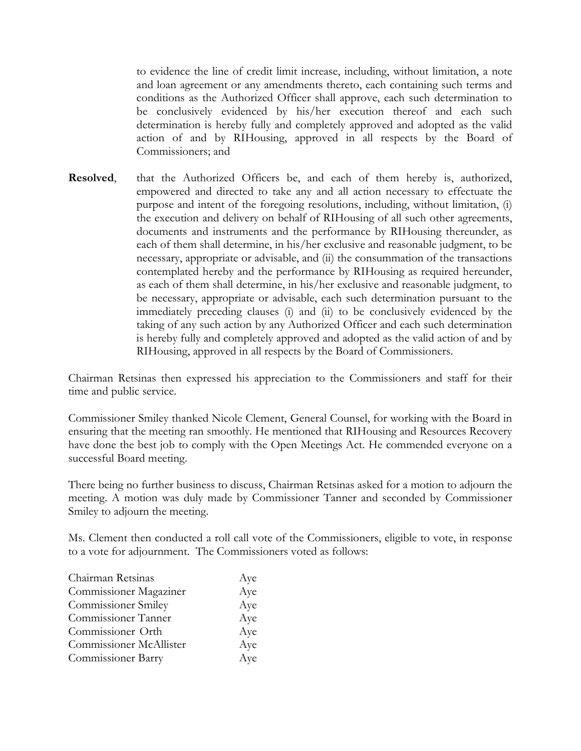to evidence the line of credit limit increase, including, without limitation, a note and loan agreement or any amendments thereto, each containing such terms and conditions as the Authorized Officer shall approve, each such determination to be conclusively evidenced by his/her execution thereof and each such determination is hereby fully and completely approved and adopted as the valid action of and by RIHousing, approved in all respects by the Board of Commissioners; and

**Resolved**, that the Authorized Officers be, and each of them hereby is, authorized, empowered and directed to take any and all action necessary to effectuate the purpose and intent of the foregoing resolutions, including, without limitation, (i) the execution and delivery on behalf of RIHousing of all such other agreements, documents and instruments and the performance by RIHousing thereunder, as each of them shall determine, in his/her exclusive and reasonable judgment, to be necessary, appropriate or advisable, and (ii) the consummation of the transactions contemplated hereby and the performance by RIHousing as required hereunder, as each of them shall determine, in his/her exclusive and reasonable judgment, to be necessary, appropriate or advisable, each such determination pursuant to the immediately preceding clauses (i) and (ii) to be conclusively evidenced by the taking of any such action by any Authorized Officer and each such determination is hereby fully and completely approved and adopted as the valid action of and by RIHousing, approved in all respects by the Board of Commissioners.

Chairman Retsinas then expressed his appreciation to the Commissioners and staff for their time and public service.

Commissioner Smiley thanked Nicole Clement, General Counsel, for working with the Board in ensuring that the meeting ran smoothly. He mentioned that RIHousing and Resources Recovery have done the best job to comply with the Open Meetings Act. He commended everyone on a successful Board meeting.

There being no further business to discuss, Chairman Retsinas asked for a motion to adjourn the meeting. A motion was duly made by Commissioner Tanner and seconded by Commissioner Smiley to adjourn the meeting.

Ms. Clement then conducted a roll call vote of the Commissioners, eligible to vote, in response to a vote for adjournment. The Commissioners voted as follows:

| Chairman Retsinas          | Aye |
|----------------------------|-----|
| Commissioner Magaziner     | Aye |
| <b>Commissioner Smiley</b> | Aye |
| Commissioner Tanner        | Aye |
| Commissioner Orth          | Aye |
| Commissioner McAllister    | Aye |
| Commissioner Barry         | Aye |